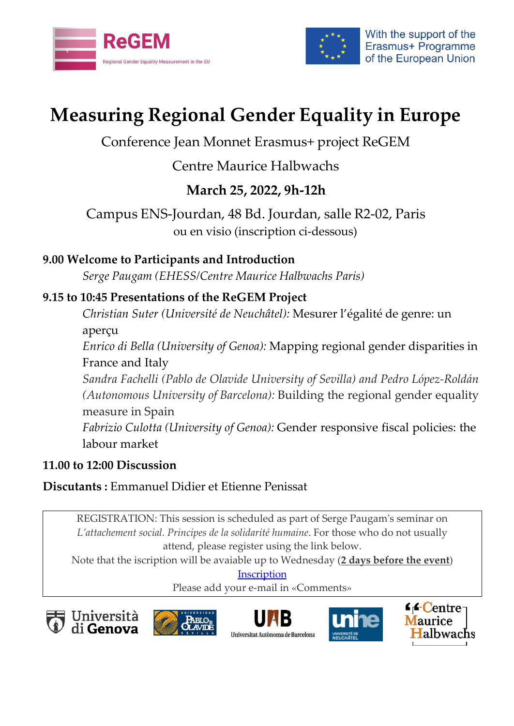



# **Measuring Regional Gender Equality in Europe**

## Conference Jean Monnet Erasmus+ project ReGEM

# Centre Maurice Halbwachs

# **March 25, 2022, 9h-12h**

Campus ENS-Jourdan, 48 Bd. Jourdan, salle R2-02, Paris ou en visio (inscription ci-dessous)

## **9.00 Welcome to Participants and Introduction**

*Serge Paugam (EHESS/Centre Maurice Halbwachs Paris)*

## **9.15 to 10:45 Presentations of the ReGEM Project**

*Christian Suter (Université de Neuchâtel):* Mesurer l'égalité de genre: un aperçu

*Enrico di Bella (University of Genoa):* Mapping regional gender disparities in France and Italy

*Sandra Fachelli (Pablo de Olavide University of Sevilla) and Pedro López-Roldán (Autonomous University of Barcelona):* Building the regional gender equality measure in Spain *Fabrizio Culotta (University of Genoa):* Gender responsive fiscal policies: the

labour market

#### **11.00 to 12:00 Discussion**

**Discutants :** Emmanuel Didier et Etienne Penissat

REGISTRATION: This session is scheduled as part of Serge Paugam's seminar on *L'attachement social. Principes de la solidarité humaine*. For those who do not usually attend, please register using the link below.

Note that the iscription will be avaiable up to Wednesday (**2 days before the event**)

**[Inscription](https://framadate.org/n7UlWX19M5fe7qwM)** 

Please add your e-mail in «Comments»